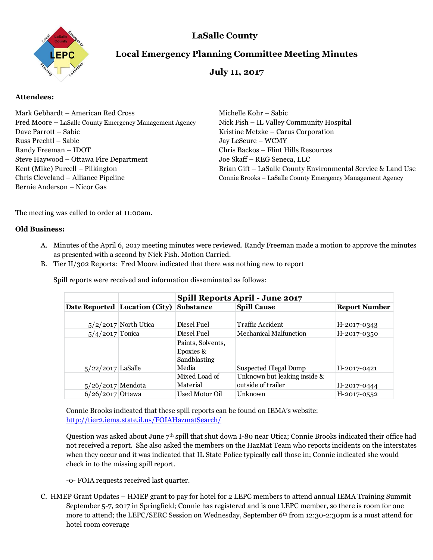

# **LaSalle County**

# **Local Emergency Planning Committee Meeting Minutes**

# **July 11, 2017**

# **Attendees:**

| Mark Gebhardt – American Red Cross                      | Michelle Kohr – Sabic                                        |
|---------------------------------------------------------|--------------------------------------------------------------|
| Fred Moore - LaSalle County Emergency Management Agency | Nick Fish – IL Valley Community Hospital                     |
| Dave Parrott - Sabic                                    | Kristine Metzke – Carus Corporation                          |
| Russ Prechtl – Sabic                                    | Jay LeSeure - WCMY                                           |
| Randy Freeman - IDOT                                    | Chris Backos - Flint Hills Resources                         |
| Steve Haywood - Ottawa Fire Department                  | Joe Skaff - REG Seneca, LLC                                  |
| Kent (Mike) Purcell – Pilkington                        | Brian Gift - LaSalle County Environmental Service & Land Use |
| Chris Cleveland – Alliance Pipeline                     | Connie Brooks - LaSalle County Emergency Management Agency   |
| Bernie Anderson - Nicor Gas                             |                                                              |

The meeting was called to order at 11:00am.

# **Old Business:**

- A. Minutes of the April 6, 2017 meeting minutes were reviewed. Randy Freeman made a motion to approve the minutes as presented with a second by Nick Fish. Motion Carried.
- B. Tier II/302 Reports: Fred Moore indicated that there was nothing new to report

|                     | Date Reported Location (City) | <b>Spill Reports April - June 2017</b>         |                                                    |                      |
|---------------------|-------------------------------|------------------------------------------------|----------------------------------------------------|----------------------|
|                     |                               | <b>Substance</b>                               | <b>Spill Cause</b>                                 | <b>Report Number</b> |
|                     |                               |                                                |                                                    |                      |
|                     | $5/2/2017$ North Utica        | Diesel Fuel                                    | <b>Traffic Accident</b>                            | H-2017-0343          |
| $5/4/2017$ Tonica   |                               | Diesel Fuel                                    | <b>Mechanical Malfunction</b>                      | H-2017-0350          |
|                     |                               | Paints, Solvents,<br>Epoxies &<br>Sandblasting |                                                    |                      |
| $5/22/2017$ LaSalle |                               | Media                                          | Suspected Illegal Dump                             | H-2017-0421          |
| $5/26/2017$ Mendota |                               | Mixed Load of<br>Material                      | Unknown but leaking inside &<br>outside of trailer | H-2017-0444          |
| $6/26/2017$ Ottawa  |                               | Used Motor Oil                                 | Unknown                                            | H-2017-0552          |

Spill reports were received and information disseminated as follows:

Connie Brooks indicated that these spill reports can be found on IEMA's website: <http://tier2.iema.state.il.us/FOIAHazmatSearch/>

Question was asked about June 7th spill that shut down I-80 near Utica; Connie Brooks indicated their office had not received a report. She also asked the members on the HazMat Team who reports incidents on the interstates when they occur and it was indicated that IL State Police typically call those in; Connie indicated she would check in to the missing spill report.

-0- FOIA requests received last quarter.

C. HMEP Grant Updates – HMEP grant to pay for hotel for 2 LEPC members to attend annual IEMA Training Summit September 5-7, 2017 in Springfield; Connie has registered and is one LEPC member, so there is room for one more to attend; the LEPC/SERC Session on Wednesday, September 6<sup>th</sup> from 12:30-2:30pm is a must attend for hotel room coverage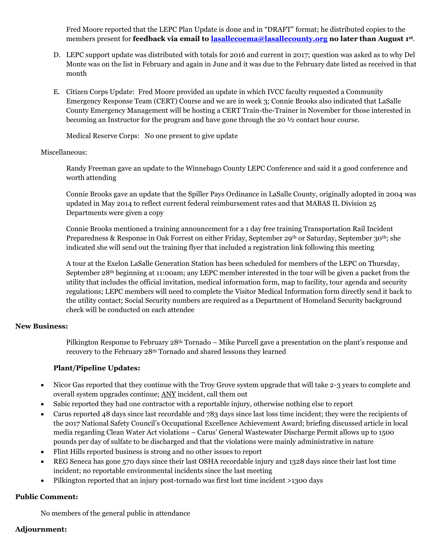Fred Moore reported that the LEPC Plan Update is done and in "DRAFT" format; he distributed copies to the members present for **feedback via email to [lasallecoema@lasallecounty.org](mailto:lasallecoema@lasallecounty.org) no later than August 1st** .

- D. LEPC support update was distributed with totals for 2016 and current in 2017; question was asked as to why Del Monte was on the list in February and again in June and it was due to the February date listed as received in that month
- E. Citizen Corps Update: Fred Moore provided an update in which IVCC faculty requested a Community Emergency Response Team (CERT) Course and we are in week 3; Connie Brooks also indicated that LaSalle County Emergency Management will be hosting a CERT Train-the-Trainer in November for those interested in becoming an Instructor for the program and have gone through the 20 ½ contact hour course.

Medical Reserve Corps: No one present to give update

#### Miscellaneous:

Randy Freeman gave an update to the Winnebago County LEPC Conference and said it a good conference and worth attending

Connie Brooks gave an update that the Spiller Pays Ordinance in LaSalle County, originally adopted in 2004 was updated in May 2014 to reflect current federal reimbursement rates and that MABAS IL Division 25 Departments were given a copy

Connie Brooks mentioned a training announcement for a 1 day free training Transportation Rail Incident Preparedness & Response in Oak Forrest on either Friday, September 29th or Saturday, September 30th; she indicated she will send out the training flyer that included a registration link following this meeting

A tour at the Exelon LaSalle Generation Station has been scheduled for members of the LEPC on Thursday, September 28th beginning at 11:00am; any LEPC member interested in the tour will be given a packet from the utility that includes the official invitation, medical information form, map to facility, tour agenda and security regulations; LEPC members will need to complete the Visitor Medical Information form directly send it back to the utility contact; Social Security numbers are required as a Department of Homeland Security background check will be conducted on each attendee

# **New Business:**

Pilkington Response to February 28th Tornado – Mike Purcell gave a presentation on the plant's response and recovery to the February 28th Tornado and shared lessons they learned

# **Plant/Pipeline Updates:**

- Nicor Gas reported that they continue with the Troy Grove system upgrade that will take 2-3 years to complete and overall system upgrades continue; ANY incident, call them out
- Sabic reported they had one contractor with a reportable injury, otherwise nothing else to report
- Carus reported 48 days since last recordable and 783 days since last loss time incident; they were the recipients of the 2017 National Safety Council's Occupational Excellence Achievement Award; briefing discussed article in local media regarding Clean Water Act violations – Carus' General Wastewater Discharge Permit allows up to 1500 pounds per day of sulfate to be discharged and that the violations were mainly administrative in nature
- Flint Hills reported business is strong and no other issues to report
- REG Seneca has gone 570 days since their last OSHA recordable injury and 1328 days since their last lost time incident; no reportable environmental incidents since the last meeting
- Pilkington reported that an injury post-tornado was first lost time incident >1300 days

# **Public Comment:**

No members of the general public in attendance

# **Adjournment:**